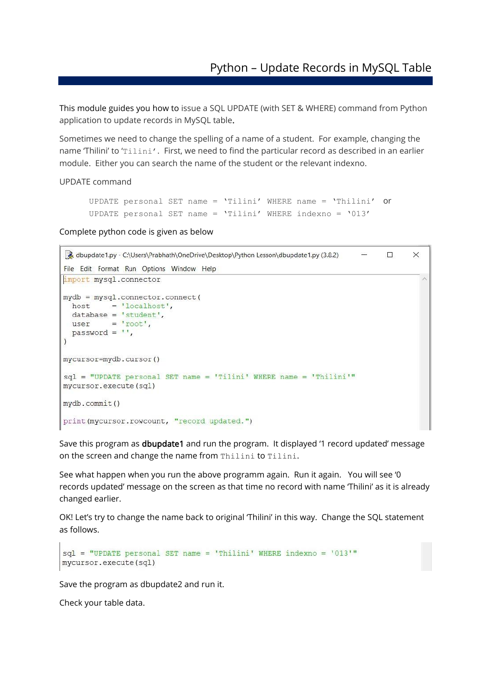This module guides you how to issue a SQL UPDATE (with SET & WHERE) command from Python application to update records in MySQL table.

Sometimes we need to change the spelling of a name of a student. For example, changing the name 'Thilini' to 'Tilini'. First, we need to find the particular record as described in an earlier module. Either you can search the name of the student or the relevant indexno.

UPDATE command

```
UPDATE personal SET name = 'Tilini' WHERE name = 'Thilini' or
UPDATE personal SET name = 'Tilini' WHERE indexno = '013'
```
Complete python code is given as below

```
abupdate1.py - C:\Users\Prabhath\OneDrive\Desktop\Python Lesson\dbupdate1.py (3.8.2)
                                                                                  \left\langle -\right\rangle×
File Edit Format Run Options Window Help
import mysql.connector
mydb = mysql.connector.connect(
  host = 'localhost',database = 'student',user = 'root',
  password = "\lambdamycursor=mydb.cursor()
sql = "UPDATE personal SET name = 'Tilini' WHERE name = 'Thilini'"
mycursor.execute(sql)
mydb.commit()
print (mycursor.rowcount, "record updated.")
```
Save this program as **dbupdate1** and run the program. It displayed '1 record updated' message on the screen and change the name from Thilini to Tilini.

See what happen when you run the above programm again. Run it again. You will see '0 records updated' message on the screen as that time no record with name 'Thilini' as it is already changed earlier.

OK! Let's try to change the name back to original 'Thilini' in this way. Change the SQL statement as follows.

```
sql = "UPDATE personal SET name = 'Thilini' WHERE indexno = '013'"
mycursor.execute(sql)
```
Save the program as dbupdate2 and run it.

Check your table data.